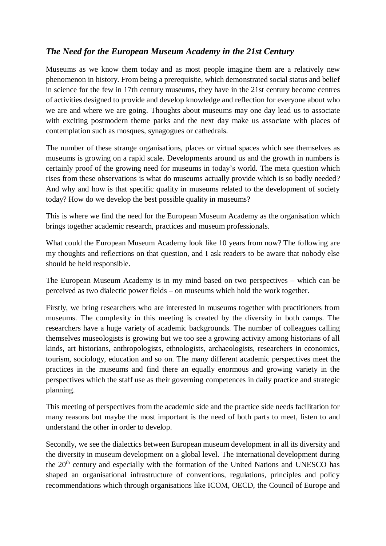## *The Need for the European Museum Academy in the 21st Century*

Museums as we know them today and as most people imagine them are a relatively new phenomenon in history. From being a prerequisite, which demonstrated social status and belief in science for the few in 17th century museums, they have in the 21st century become centres of activities designed to provide and develop knowledge and reflection for everyone about who we are and where we are going. Thoughts about museums may one day lead us to associate with exciting postmodern theme parks and the next day make us associate with places of contemplation such as mosques, synagogues or cathedrals.

The number of these strange organisations, places or virtual spaces which see themselves as museums is growing on a rapid scale. Developments around us and the growth in numbers is certainly proof of the growing need for museums in today's world. The meta question which rises from these observations is what do museums actually provide which is so badly needed? And why and how is that specific quality in museums related to the development of society today? How do we develop the best possible quality in museums?

This is where we find the need for the European Museum Academy as the organisation which brings together academic research, practices and museum professionals.

What could the European Museum Academy look like 10 years from now? The following are my thoughts and reflections on that question, and I ask readers to be aware that nobody else should be held responsible.

The European Museum Academy is in my mind based on two perspectives – which can be perceived as two dialectic power fields – on museums which hold the work together.

Firstly, we bring researchers who are interested in museums together with practitioners from museums. The complexity in this meeting is created by the diversity in both camps. The researchers have a huge variety of academic backgrounds. The number of colleagues calling themselves museologists is growing but we too see a growing activity among historians of all kinds, art historians, anthropologists, ethnologists, archaeologists, researchers in economics, tourism, sociology, education and so on. The many different academic perspectives meet the practices in the museums and find there an equally enormous and growing variety in the perspectives which the staff use as their governing competences in daily practice and strategic planning.

This meeting of perspectives from the academic side and the practice side needs facilitation for many reasons but maybe the most important is the need of both parts to meet, listen to and understand the other in order to develop.

Secondly, we see the dialectics between European museum development in all its diversity and the diversity in museum development on a global level. The international development during the 20<sup>th</sup> century and especially with the formation of the United Nations and UNESCO has shaped an organisational infrastructure of conventions, regulations, principles and policy recommendations which through organisations like ICOM, OECD, the Council of Europe and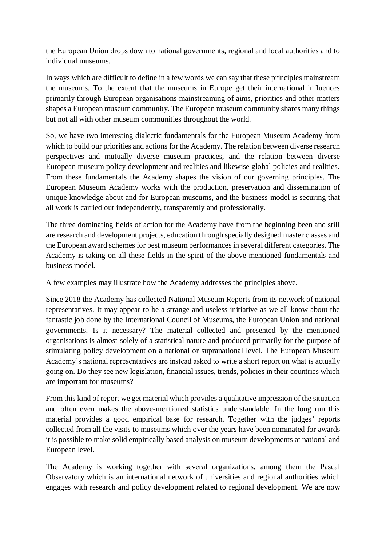the European Union drops down to national governments, regional and local authorities and to individual museums.

In ways which are difficult to define in a few words we can say that these principles mainstream the museums. To the extent that the museums in Europe get their international influences primarily through European organisations mainstreaming of aims, priorities and other matters shapes a European museum community. The European museum community shares many things but not all with other museum communities throughout the world.

So, we have two interesting dialectic fundamentals for the European Museum Academy from which to build our priorities and actions for the Academy. The relation between diverse research perspectives and mutually diverse museum practices, and the relation between diverse European museum policy development and realities and likewise global policies and realities. From these fundamentals the Academy shapes the vision of our governing principles. The European Museum Academy works with the production, preservation and dissemination of unique knowledge about and for European museums, and the business-model is securing that all work is carried out independently, transparently and professionally.

The three dominating fields of action for the Academy have from the beginning been and still are research and development projects, education through specially designed master classes and the European award schemes for best museum performances in several different categories. The Academy is taking on all these fields in the spirit of the above mentioned fundamentals and business model.

A few examples may illustrate how the Academy addresses the principles above.

Since 2018 the Academy has collected National Museum Reports from its network of national representatives. It may appear to be a strange and useless initiative as we all know about the fantastic job done by the International Council of Museums, the European Union and national governments. Is it necessary? The material collected and presented by the mentioned organisations is almost solely of a statistical nature and produced primarily for the purpose of stimulating policy development on a national or supranational level. The European Museum Academy's national representatives are instead asked to write a short report on what is actually going on. Do they see new legislation, financial issues, trends, policies in their countries which are important for museums?

From this kind of report we get material which provides a qualitative impression of the situation and often even makes the above-mentioned statistics understandable. In the long run this material provides a good empirical base for research. Together with the judges' reports collected from all the visits to museums which over the years have been nominated for awards it is possible to make solid empirically based analysis on museum developments at national and European level.

The Academy is working together with several organizations, among them the Pascal Observatory which is an international network of universities and regional authorities which engages with research and policy development related to regional development. We are now